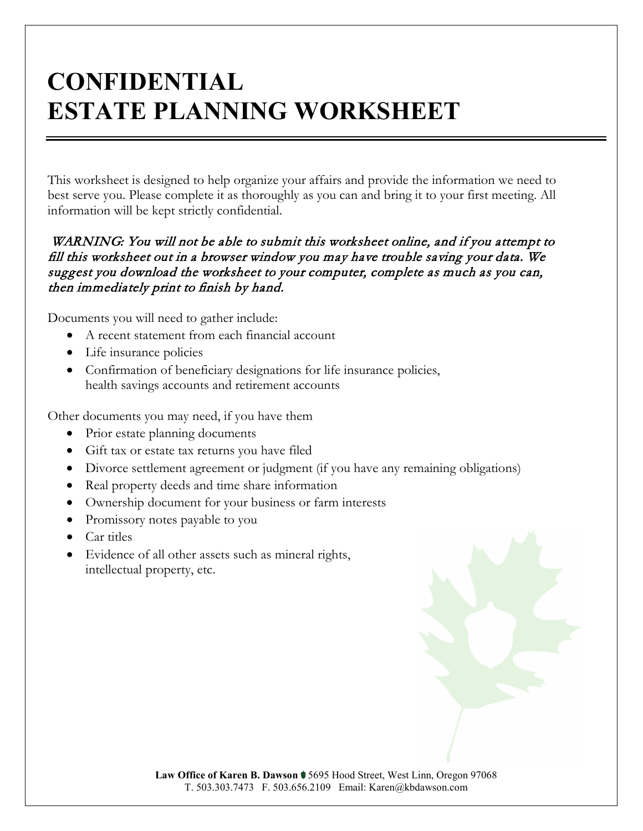# **CONFIDENTIAL ESTATE PLANNING WORKSHEET**

This worksheet is designed to help organize your affairs and provide the information we need to best serve you. Please complete it as thoroughly as you can and bring it to your first meeting. All information will be kept strictly confidential.

#### WARNING: You will not be able to submit this worksheet online, and if you attempt to fill this worksheet out in a browser window you may have trouble saving your data. We suggest you download the worksheet to your computer, complete as much as you can, then immediately print to finish by hand.

Documents you will need to gather include:

- A recent statement from each financial account
- Life insurance policies
- Confirmation of beneficiary designations for life insurance policies, health savings accounts and retirement accounts

Other documents you may need, if you have them

- Prior estate planning documents
- Gift tax or estate tax returns you have filed
- Divorce settlement agreement or judgment (if you have any remaining obligations)
- Real property deeds and time share information
- Ownership document for your business or farm interests
- Promissory notes payable to you
- Car titles
- Evidence of all other assets such as mineral rights, intellectual property, etc.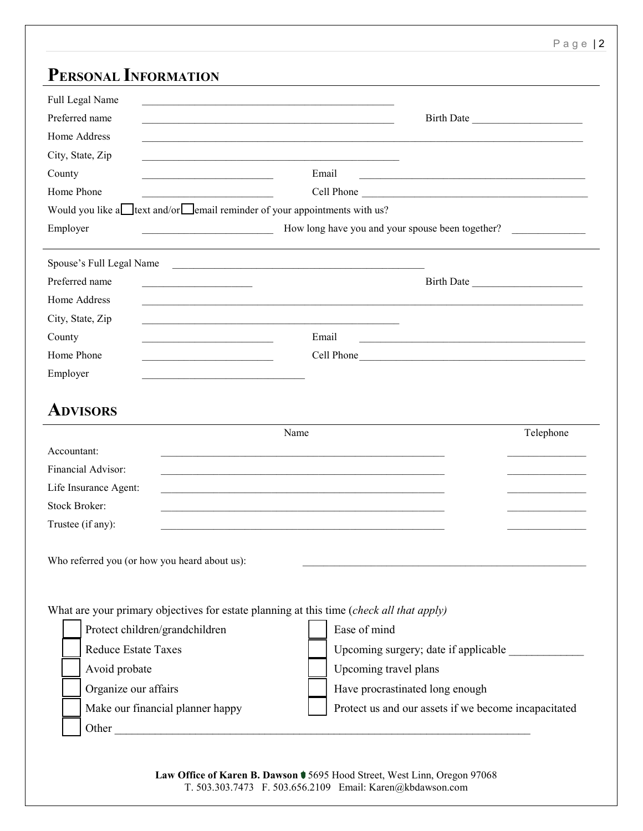## **PERSONAL INFORMATION**

| Full Legal Name<br>Preferred name<br>Home Address<br>City, State, Zip |                                                                                                                       |                                                                                                                                | Birth Date |
|-----------------------------------------------------------------------|-----------------------------------------------------------------------------------------------------------------------|--------------------------------------------------------------------------------------------------------------------------------|------------|
| County                                                                |                                                                                                                       | Email<br>the control of the control of the control of the control of the control of the control of                             |            |
| Home Phone                                                            |                                                                                                                       | Cell Phone                                                                                                                     |            |
|                                                                       | Would you like a<br><u>lext</u> and/or<br><b>Solution</b> reminder of your appointments with us?                      |                                                                                                                                |            |
| Employer                                                              | <u> 1989 - Johann Barn, mars eta bainar eta industrial eta industrial eta industrial eta industrial eta industria</u> | How long have you and your spouse been together?                                                                               |            |
| Spouse's Full Legal Name                                              |                                                                                                                       |                                                                                                                                |            |
| Preferred name                                                        | <u> 1989 - Johann Barbara, margaret eta idazlear</u>                                                                  |                                                                                                                                |            |
| Home Address                                                          | <u> 1989 - Johann Stoff, amerikansk politiker (d. 1989)</u>                                                           |                                                                                                                                |            |
| City, State, Zip                                                      | the control of the control of the control of the control of the control of the control of                             |                                                                                                                                |            |
| County                                                                |                                                                                                                       | Email<br><u> 1989 - Johann John Stone, mars eta inperiodo eta inperiodo eta inperiodo eta inperiodo eta inperiodo eta inpe</u> |            |
| Home Phone                                                            |                                                                                                                       | Cell Phone                                                                                                                     |            |
| Employer                                                              |                                                                                                                       |                                                                                                                                |            |
| <b>ADVISORS</b>                                                       |                                                                                                                       |                                                                                                                                |            |
|                                                                       | Name                                                                                                                  |                                                                                                                                | Telephone  |
| Accountant:                                                           |                                                                                                                       |                                                                                                                                |            |
| Financial Advisor:                                                    |                                                                                                                       |                                                                                                                                |            |
|                                                                       |                                                                                                                       |                                                                                                                                |            |
| Life Insurance Agent:                                                 |                                                                                                                       |                                                                                                                                |            |
| <b>Stock Broker:</b>                                                  |                                                                                                                       |                                                                                                                                |            |
| Trustee (if any):                                                     |                                                                                                                       |                                                                                                                                |            |
|                                                                       | Who referred you (or how you heard about us):                                                                         |                                                                                                                                |            |
|                                                                       |                                                                                                                       |                                                                                                                                |            |
|                                                                       | What are your primary objectives for estate planning at this time (check all that apply)                              |                                                                                                                                |            |
|                                                                       | Protect children/grandchildren                                                                                        | Ease of mind                                                                                                                   |            |
| <b>Reduce Estate Taxes</b>                                            |                                                                                                                       | Upcoming surgery; date if applicable ___________                                                                               |            |
| Avoid probate                                                         |                                                                                                                       | Upcoming travel plans                                                                                                          |            |
| Organize our affairs                                                  |                                                                                                                       | Have procrastinated long enough                                                                                                |            |
|                                                                       | Make our financial planner happy                                                                                      | Protect us and our assets if we become incapacitated                                                                           |            |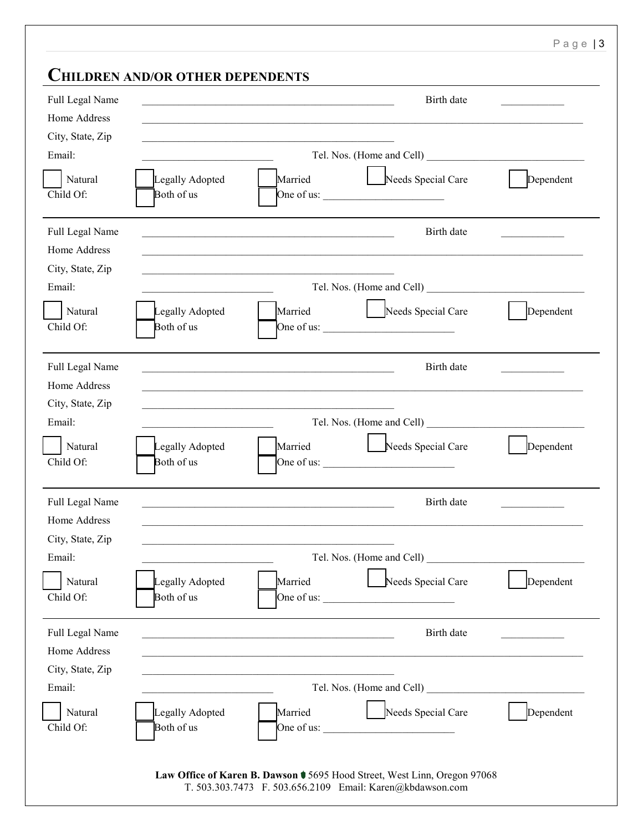Page | 3

## **CHILDREN AND/OR OTHER DEPENDENTS**

| Full Legal Name<br>Home Address  | Birth date<br><u> 1980 - Johann Barn, mars ann an t-Amhain an t-Amhain an t-Amhain an t-Amhain an t-Amhain an t-Amhain an t-Amh</u>                  |           |
|----------------------------------|------------------------------------------------------------------------------------------------------------------------------------------------------|-----------|
| City, State, Zip<br>Email:       | Tel. Nos. (Home and Cell)                                                                                                                            |           |
| Natural<br>Child Of:             | Married<br>Needs Special Care<br>Legally Adopted<br>Both of us<br>One of us: $\frac{1}{\sqrt{1-\frac{1}{2}}}\left  \int_{-\infty}^{\infty}$          | Dependent |
| Full Legal Name<br>Home Address  | Birth date<br>and the control of the control of the control of the control of the control of the control of the control of the                       |           |
| City, State, Zip<br>Email:       |                                                                                                                                                      |           |
| Natural<br>Child Of:             | Married<br>Needs Special Care<br>Legally Adopted<br>One of us: $\frac{1}{\sqrt{1-\frac{1}{2}}}\left  \int_{-\infty}^{\infty}$<br>Both of us          | Dependent |
| Full Legal Name<br>Home Address  | Birth date<br><u> 1980 - Johann Barbara, martin amerikan basal dan berasal dalam basal dalam basal dan berasal dalam basal dala</u>                  |           |
| City, State, Zip                 |                                                                                                                                                      |           |
| Email:                           | the control of the control of the control of                                                                                                         |           |
| Natural<br>Child Of:             | Married<br>Needs Special Care<br>Legally Adopted<br>Both of us<br>One of us: $\frac{1}{2}$ One of us:                                                | Dependent |
| Full Legal Name<br>Home Address  | Birth date                                                                                                                                           |           |
| City, State, Zip                 |                                                                                                                                                      |           |
| Email:                           | Tel. Nos. (Home and Cell)                                                                                                                            |           |
| Natural<br>Child Of:             | Married<br>Needs Special Care<br>Legally Adopted<br>Both of us<br>One of us:<br><u> 1990 - Johann Barbara, martin a</u>                              | Dependent |
| Full Legal Name                  | Birth date                                                                                                                                           |           |
| Home Address<br>City, State, Zip |                                                                                                                                                      |           |
| Email:                           |                                                                                                                                                      |           |
| Natural<br>Child Of:             | Needs Special Care<br>Legally Adopted<br>Married<br>Both of us<br>One of us: $\frac{1}{2}$ One of us:                                                | Dependent |
|                                  | Law Office of Karen B. Dawson $\blacklozenge$ 5695 Hood Street, West Linn, Oregon 97068<br>T. 503.303.7473 F. 503.656.2109 Email: Karen@kbdawson.com |           |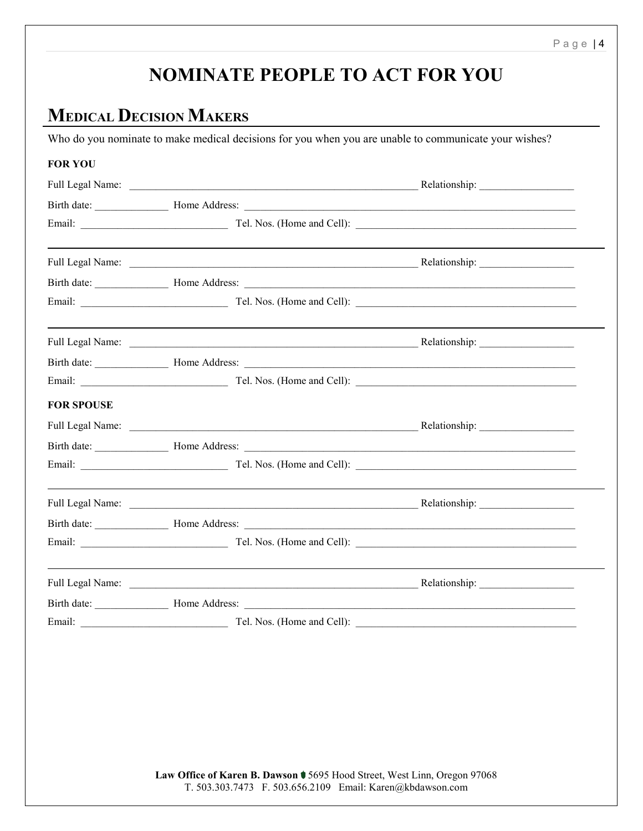## **NOMINATE PEOPLE TO ACT FOR YOU**

## **MEDICAL DECISION MAKERS**

Who do you nominate to make medical decisions for you when you are unable to communicate your wishes?

|                   | Full Legal Name: Relationship: Relationship: Relationship: |  |
|-------------------|------------------------------------------------------------|--|
|                   |                                                            |  |
|                   |                                                            |  |
|                   |                                                            |  |
|                   |                                                            |  |
|                   |                                                            |  |
|                   |                                                            |  |
|                   |                                                            |  |
|                   |                                                            |  |
|                   |                                                            |  |
| <b>FOR SPOUSE</b> |                                                            |  |
|                   |                                                            |  |
|                   |                                                            |  |
|                   |                                                            |  |
|                   |                                                            |  |
|                   |                                                            |  |
|                   |                                                            |  |
|                   |                                                            |  |
|                   |                                                            |  |
|                   |                                                            |  |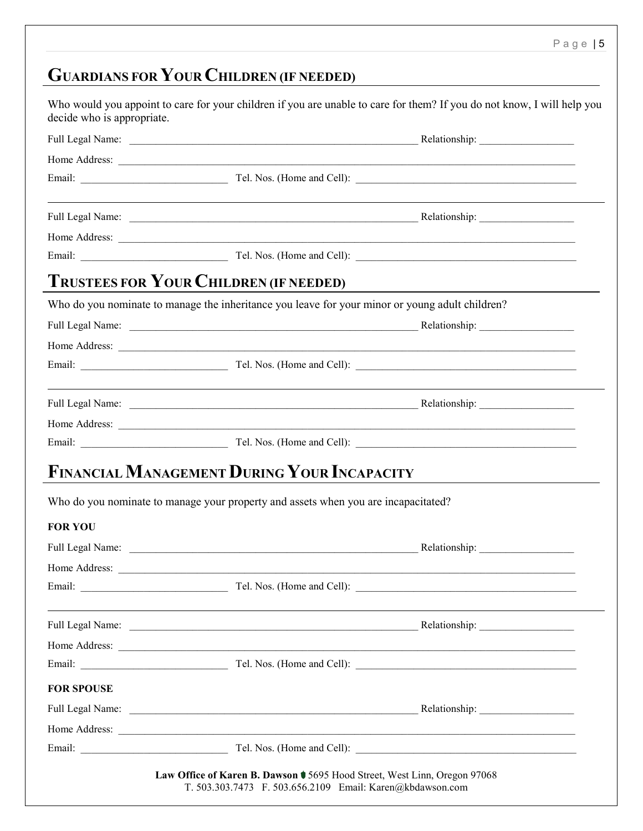# **GUARDIANS FOR YOUR CHILDREN (IF NEEDED)**

|                   | <b>TRUSTEES FOR YOUR CHILDREN (IF NEEDED)</b>                                                                                                                                                                                  |  |
|-------------------|--------------------------------------------------------------------------------------------------------------------------------------------------------------------------------------------------------------------------------|--|
|                   | Who do you nominate to manage the inheritance you leave for your minor or young adult children?                                                                                                                                |  |
|                   |                                                                                                                                                                                                                                |  |
|                   |                                                                                                                                                                                                                                |  |
|                   |                                                                                                                                                                                                                                |  |
|                   |                                                                                                                                                                                                                                |  |
|                   |                                                                                                                                                                                                                                |  |
|                   |                                                                                                                                                                                                                                |  |
|                   | <b>FINANCIAL MANAGEMENT DURING YOUR INCAPACITY</b><br>Who do you nominate to manage your property and assets when you are incapacitated?                                                                                       |  |
| <b>FOR YOU</b>    |                                                                                                                                                                                                                                |  |
|                   |                                                                                                                                                                                                                                |  |
| Home Address:     |                                                                                                                                                                                                                                |  |
|                   | <u> 1989 - Johann Barn, fransk politik (f. 1989)</u>                                                                                                                                                                           |  |
|                   | <u> 1999 - Johann Stein, marwolaethau a bhann an t-Amhain ann an t-Amhain an t-Amhain an t-Amhain an t-Amhain an </u>                                                                                                          |  |
|                   | Full Legal Name: Name: Name: Relationship: Name: Relationship: Name: Relationship: Name: Name: Relationship: Name: Relationship: Name: Relationship: Name: Relationship: Name: Relationship: Name: Relationship: Name: Relatio |  |
|                   |                                                                                                                                                                                                                                |  |
|                   |                                                                                                                                                                                                                                |  |
|                   |                                                                                                                                                                                                                                |  |
| <b>FOR SPOUSE</b> |                                                                                                                                                                                                                                |  |
|                   |                                                                                                                                                                                                                                |  |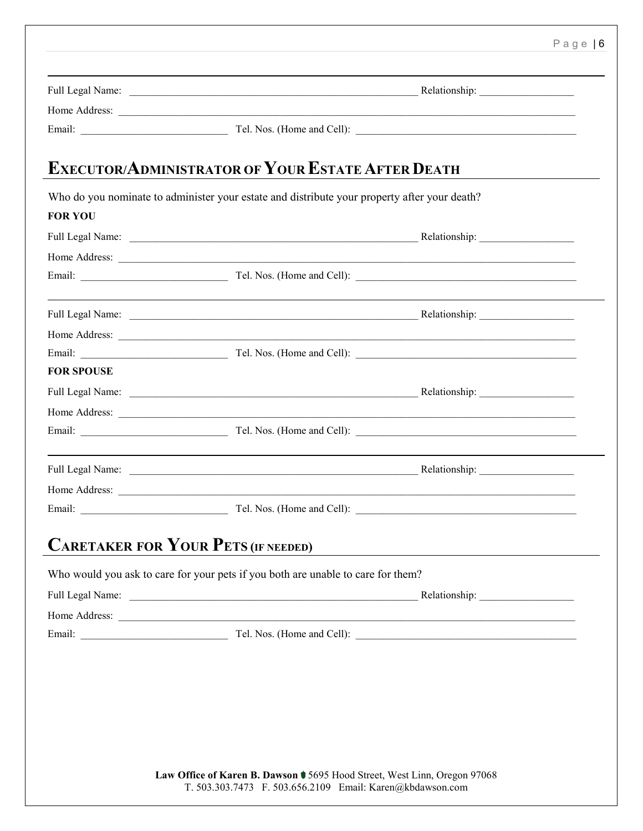|                   | Home Address: <u>Queen Communication</u>                                                                                                                                                                                             |  |
|-------------------|--------------------------------------------------------------------------------------------------------------------------------------------------------------------------------------------------------------------------------------|--|
|                   |                                                                                                                                                                                                                                      |  |
|                   | <b>EXECUTOR/ADMINISTRATOR OF YOUR ESTATE AFTER DEATH</b>                                                                                                                                                                             |  |
|                   | Who do you nominate to administer your estate and distribute your property after your death?                                                                                                                                         |  |
| <b>FOR YOU</b>    |                                                                                                                                                                                                                                      |  |
|                   |                                                                                                                                                                                                                                      |  |
|                   |                                                                                                                                                                                                                                      |  |
|                   | Email: Tel. Nos. (Home and Cell):                                                                                                                                                                                                    |  |
|                   |                                                                                                                                                                                                                                      |  |
|                   | Home Address: <u>and the Sales of the Sales of the Sales of the Sales of the Sales of the Sales of the Sales of the Sales of the Sales of the Sales of the Sales of the Sales of the Sales of the Sales of the Sales of the Sale</u> |  |
|                   |                                                                                                                                                                                                                                      |  |
| <b>FOR SPOUSE</b> |                                                                                                                                                                                                                                      |  |
|                   |                                                                                                                                                                                                                                      |  |
|                   | Home Address: <u>and a series of the series of the series of the series of the series of the series of the series of the series of the series of the series of the series of the series of the series of the series of the serie</u> |  |
|                   |                                                                                                                                                                                                                                      |  |
|                   |                                                                                                                                                                                                                                      |  |
|                   | Home Address: <u>and the Address</u> contains the action of the Address contains the Address contains the Address contains the Address contains the Address contains the Address contains the Address contains the Address contains  |  |
|                   |                                                                                                                                                                                                                                      |  |
|                   | <b>CARETAKER FOR YOUR PETS (IF NEEDED)</b>                                                                                                                                                                                           |  |
|                   | Who would you ask to care for your pets if you both are unable to care for them?                                                                                                                                                     |  |
|                   |                                                                                                                                                                                                                                      |  |
|                   |                                                                                                                                                                                                                                      |  |
|                   |                                                                                                                                                                                                                                      |  |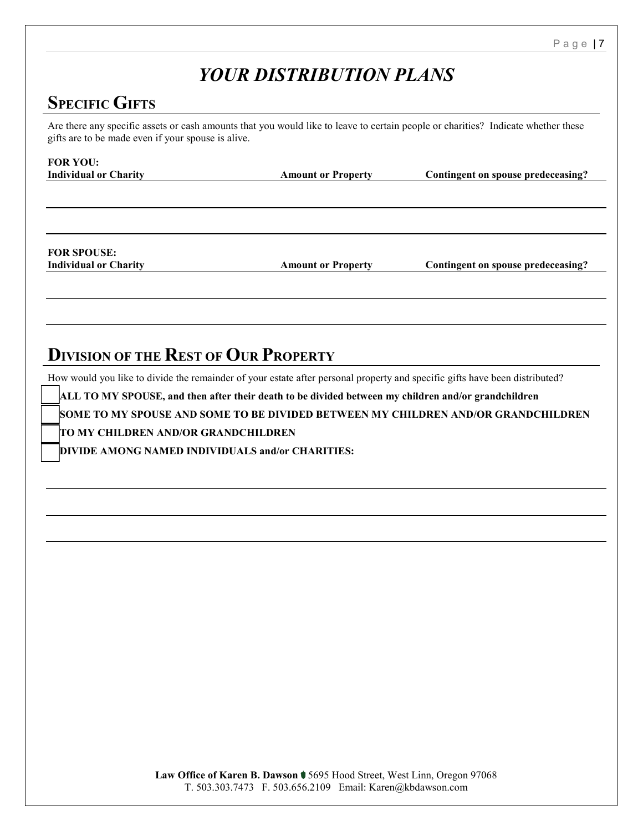## *YOUR DISTRIBUTION PLANS*

## **SPECIFIC GIFTS**

Are there any specific assets or cash amounts that you would like to leave to certain people or charities? Indicate whether these gifts are to be made even if your spouse is alive.

| <b>Amount or Property</b> | Contingent on spouse predeceasing? |
|---------------------------|------------------------------------|
|                           |                                    |
|                           |                                    |
|                           |                                    |
|                           |                                    |

## **DIVISION OF THE REST OF OUR PROPERTY**

How would you like to divide the remainder of your estate after personal property and specific gifts have been distributed?

**ALL TO MY SPOUSE, and then after their death to be divided between my children and/or grandchildren** 

**SOME TO MY SPOUSE AND SOME TO BE DIVIDED BETWEEN MY CHILDREN AND/OR GRANDCHILDREN** 

**TO MY CHILDREN AND/OR GRANDCHILDREN** 

**DIVIDE AMONG NAMED INDIVIDUALS and/or CHARITIES:**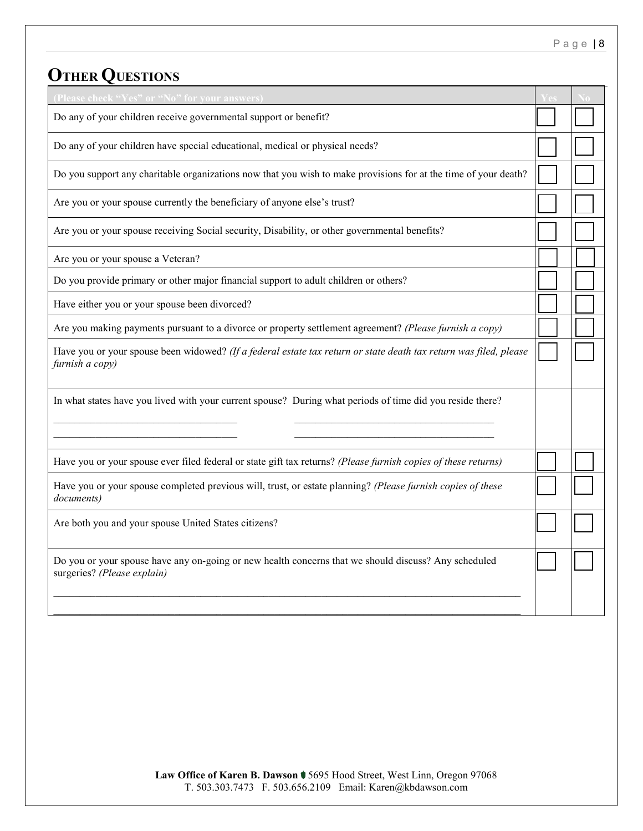# **OTHER QUESTIONS**

| (Please check "Yes" or "No" for your answers)                                                                                        |  |
|--------------------------------------------------------------------------------------------------------------------------------------|--|
| Do any of your children receive governmental support or benefit?                                                                     |  |
| Do any of your children have special educational, medical or physical needs?                                                         |  |
| Do you support any charitable organizations now that you wish to make provisions for at the time of your death?                      |  |
| Are you or your spouse currently the beneficiary of anyone else's trust?                                                             |  |
| Are you or your spouse receiving Social security, Disability, or other governmental benefits?                                        |  |
| Are you or your spouse a Veteran?                                                                                                    |  |
| Do you provide primary or other major financial support to adult children or others?                                                 |  |
| Have either you or your spouse been divorced?                                                                                        |  |
| Are you making payments pursuant to a divorce or property settlement agreement? (Please furnish a copy)                              |  |
| Have you or your spouse been widowed? (If a federal estate tax return or state death tax return was filed, please<br>furnish a copy) |  |
| In what states have you lived with your current spouse? During what periods of time did you reside there?                            |  |
| Have you or your spouse ever filed federal or state gift tax returns? (Please furnish copies of these returns)                       |  |
| Have you or your spouse completed previous will, trust, or estate planning? (Please furnish copies of these<br>documents)            |  |
| Are both you and your spouse United States citizens?                                                                                 |  |
| Do you or your spouse have any on-going or new health concerns that we should discuss? Any scheduled<br>surgeries? (Please explain)  |  |
|                                                                                                                                      |  |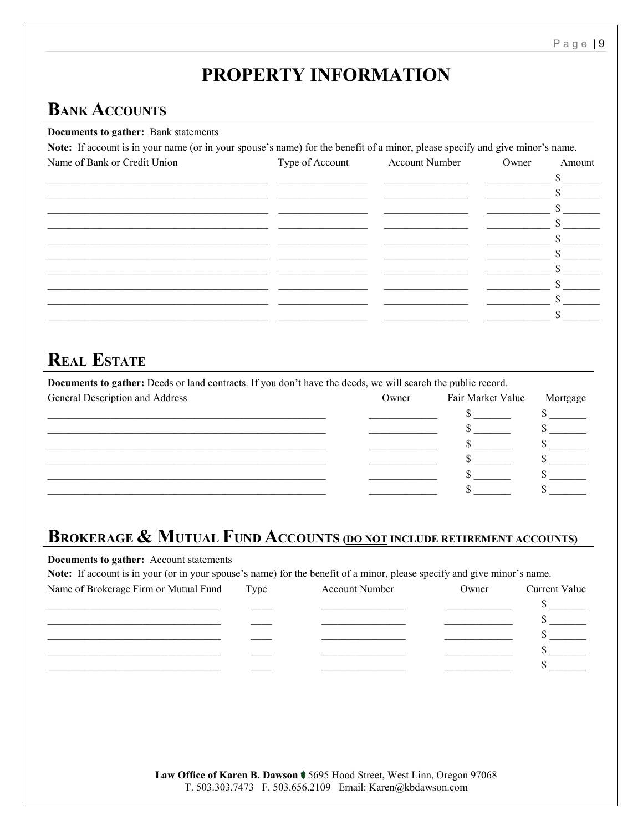## **PROPERTY INFORMATION**

## **BANK ACCOUNTS**

#### **Documents to gather:** Bank statements

Note: If account is in your name (or in your spouse's name) for the benefit of a minor, please specify and give minor's name.

| Name of Bank or Credit Union | Type of Account | Account Number | Owner | Amount |
|------------------------------|-----------------|----------------|-------|--------|
|                              |                 |                |       |        |
|                              |                 |                |       |        |
|                              |                 |                |       |        |
|                              |                 |                |       |        |
|                              |                 |                |       |        |
|                              |                 |                |       |        |
|                              |                 |                |       |        |
|                              |                 |                |       |        |
|                              |                 |                |       |        |
|                              |                 |                |       |        |
|                              |                 |                |       |        |

### **REAL ESTATE**

Documents to gather: Deeds or land contracts. If you don't have the deeds, we will search the public record.

| General Description and Address | Owner | Fair Market Value | Mortgage |
|---------------------------------|-------|-------------------|----------|
|                                 |       |                   |          |
|                                 |       |                   |          |
|                                 |       |                   |          |
|                                 |       |                   |          |
|                                 |       |                   |          |
|                                 |       |                   |          |

## **BROKERAGE & MUTUAL FUND ACCOUNTS (DO NOT INCLUDE RETIREMENT ACCOUNTS)**

Documents to gather: Account statements

Note: If account is in your (or in your spouse's name) for the benefit of a minor, please specify and give minor's name.

| Name of Brokerage Firm or Mutual Fund | Type | <b>Account Number</b> | Owner | <b>Current Value</b> |
|---------------------------------------|------|-----------------------|-------|----------------------|
|                                       |      |                       |       |                      |
|                                       |      |                       |       |                      |
|                                       |      |                       |       |                      |
|                                       |      |                       |       |                      |
|                                       |      |                       |       |                      |
|                                       |      |                       |       |                      |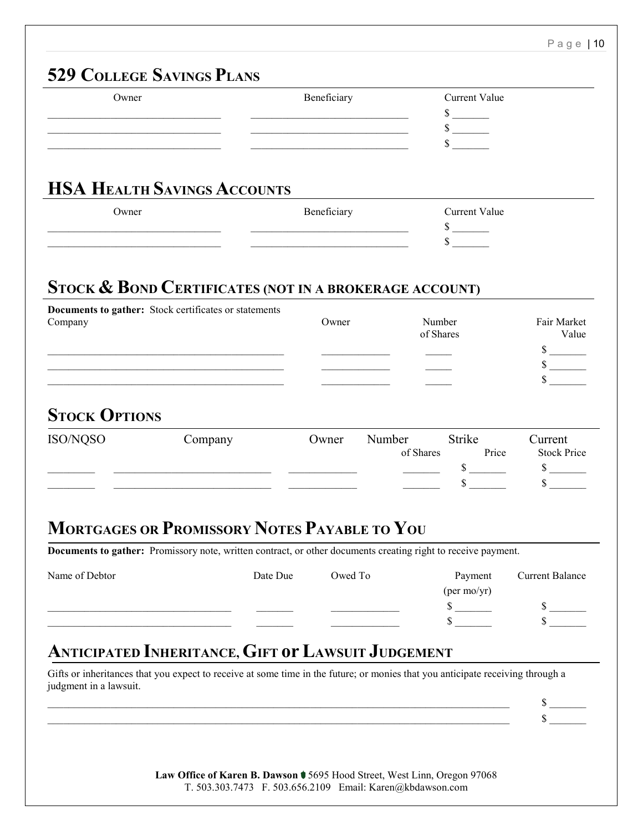## **529 COLLEGE SAVINGS PLANS** Owner Beneficiary Beneficiary Current Value \_\_\_\_\_\_\_\_\_\_\_\_\_\_\_\_\_\_\_\_\_\_\_\_\_\_\_\_\_\_\_\_\_ \_\_\_\_\_\_\_\_\_\_\_\_\_\_\_\_\_\_\_\_\_\_\_\_\_\_\_\_\_\_ \$ \_\_\_\_\_\_\_  $\frac{\sqrt{2}}{2}$  $\sim$  . The contract of the contract of the contract of the contract of the contract of  $\sim$ **HSA HEALTH SAVINGS ACCOUNTS** Owner **Beneficiary** Beneficiary Current Value  $\frac{\sqrt{2}}{2}$ \_\_\_\_\_\_\_\_\_\_\_\_\_\_\_\_\_\_\_\_\_\_\_\_\_\_\_\_\_\_\_\_\_ \_\_\_\_\_\_\_\_\_\_\_\_\_\_\_\_\_\_\_\_\_\_\_\_\_\_\_\_\_\_ \$ \_\_\_\_\_\_\_ **STOCK & BOND CERTIFICATES (NOT IN A BROKERAGE ACCOUNT) Documents to gather:** Stock certificates or statements Company Owner Number Fair Market of Shares Value \_\_\_\_\_\_\_\_\_\_\_\_\_\_\_\_\_\_\_\_\_\_\_\_\_\_\_\_\_\_\_\_\_\_\_\_\_\_\_\_\_\_\_\_\_ \_\_\_\_\_\_\_\_\_\_\_\_\_ \_\_\_\_\_ \$ \_\_\_\_\_\_\_ \_\_\_\_\_\_\_\_\_\_\_\_\_\_\_\_\_\_\_\_\_\_\_\_\_\_\_\_\_\_\_\_\_\_\_\_\_\_\_\_\_\_\_\_\_ \_\_\_\_\_\_\_\_\_\_\_\_\_ \_\_\_\_\_ \$ \_\_\_\_\_\_\_ \_\_\_\_\_\_\_\_\_\_\_\_\_\_\_\_\_\_\_\_\_\_\_\_\_\_\_\_\_\_\_\_\_\_\_\_\_\_\_\_\_\_\_\_\_ \_\_\_\_\_\_\_\_\_\_\_\_\_ \_\_\_\_\_ \$ \_\_\_\_\_\_\_ **STOCK OPTIONS** ISO/NQSO Company Owner Number Strike Current of Shares Price Stock Price \_\_\_\_\_\_\_\_\_ \_\_\_\_\_\_\_\_\_\_\_\_\_\_\_\_\_\_\_\_\_\_\_\_\_\_\_\_\_\_ \_\_\_\_\_\_\_\_\_\_\_\_\_ \_\_\_\_\_\_\_ \$ \_\_\_\_\_\_\_ \$ \_\_\_\_\_\_\_ \_\_\_\_\_\_\_\_\_ \_\_\_\_\_\_\_\_\_\_\_\_\_\_\_\_\_\_\_\_\_\_\_\_\_\_\_\_\_\_ \_\_\_\_\_\_\_\_\_\_\_\_\_ \_\_\_\_\_\_\_ \$ \_\_\_\_\_\_\_ \$ \_\_\_\_\_\_\_ **MORTGAGES OR PROMISSORY NOTES PAYABLE TO YOU Documents to gather:** Promissory note, written contract, or other documents creating right to receive payment. Name of Debtor **Date Due** Date Due Owed To Dayment Current Balance (per mo/yr) \_\_\_\_\_\_\_\_\_\_\_\_\_\_\_\_\_\_\_\_\_\_\_\_\_\_\_\_\_\_\_\_\_\_\_ \_\_\_\_\_\_\_ \_\_\_\_\_\_\_\_\_\_\_\_\_ \$ \_\_\_\_\_\_\_ \$ \_\_\_\_\_\_\_ \_\_\_\_\_\_\_\_\_\_\_\_\_\_\_\_\_\_\_\_\_\_\_\_\_\_\_\_\_\_\_\_\_\_\_ \_\_\_\_\_\_\_ \_\_\_\_\_\_\_\_\_\_\_\_\_ \$ \_\_\_\_\_\_\_ \$ \_\_\_\_\_\_\_ **ANTICIPATED INHERITANCE, GIFT or LAWSUIT JUDGEMENT** Gifts or inheritances that you expect to receive at some time in the future; or monies that you anticipate receiving through a judgment in a lawsuit. \_\_\_\_\_\_\_\_\_\_\_\_\_\_\_\_\_\_\_\_\_\_\_\_\_\_\_\_\_\_\_\_\_\_\_\_\_\_\_\_\_\_\_\_\_\_\_\_\_\_\_\_\_\_\_\_\_\_\_\_\_\_\_\_\_\_\_\_\_\_\_\_\_\_\_\_\_\_\_\_\_\_\_\_\_\_\_\_ \$ \_\_\_\_\_\_\_

 $\sim$  5  $-$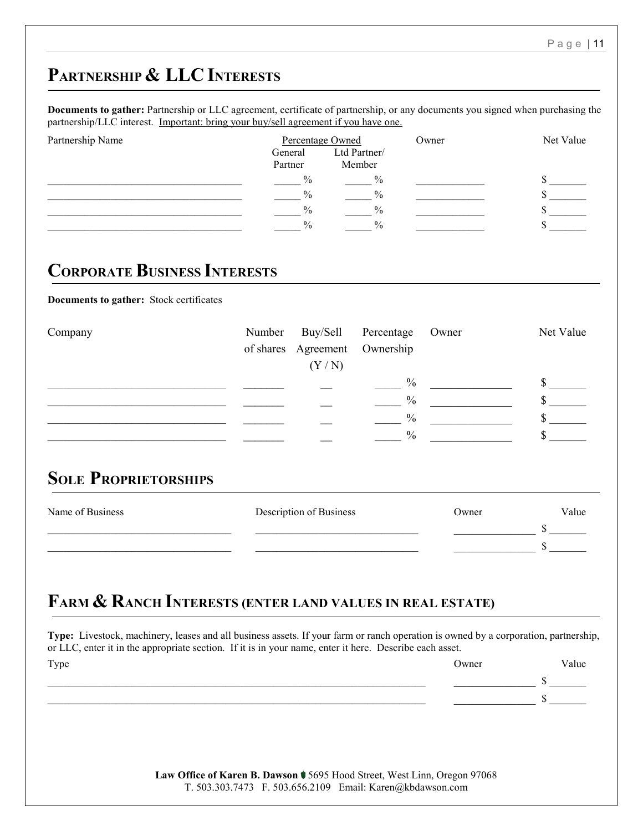\_\_\_\_\_\_\_\_\_\_\_\_\_\_\_\_\_\_\_\_\_\_\_\_\_\_\_\_\_\_\_\_\_\_\_\_\_\_\_\_\_\_\_\_\_\_\_\_\_\_\_\_\_\_\_\_\_\_\_\_\_\_\_\_\_\_\_\_\_\_\_\_ \_\_\_\_\_\_\_\_\_\_\_\_\_ \$ \_\_\_\_\_\_\_

 $\overline{\phantom{a}}$   $\overline{\phantom{a}}$   $\overline{\phantom{a}}$   $\overline{\phantom{a}}$   $\overline{\phantom{a}}$ 

## **PARTNERSHIP & LLC INTERESTS**

**Documents to gather:** Partnership or LLC agreement, certificate of partnership, or any documents you signed when purchasing the partnership/LLC interest. Important: bring your buy/sell agreement if you have one.

| Partnership Name | Percentage Owned   |                        | Owner | Net Value |  |
|------------------|--------------------|------------------------|-------|-----------|--|
|                  | General<br>Partner | Ltd Partner/<br>Member |       |           |  |
|                  | $\frac{0}{0}$      | $\frac{0}{0}$          |       |           |  |
|                  | $\frac{0}{0}$      | $^{0}/_{0}$            |       |           |  |
|                  | $\frac{0}{0}$      | $^{0}/_{0}$            |       |           |  |
|                  | $\frac{0}{0}$      | $^{0}/_{0}$            |       |           |  |

## **CORPORATE BUSINESS INTERESTS**

**Documents to gather:** Stock certificates

| Company |                               | Number Buy/Sell Percentage Owner | Net Value |
|---------|-------------------------------|----------------------------------|-----------|
|         | of shares Agreement Ownership |                                  |           |
|         | (Y/N)                         |                                  |           |
|         |                               | $\%$                             |           |
|         |                               | $\%$                             |           |
|         |                               | $\%$                             |           |
|         |                               | $\frac{0}{0}$                    |           |

### **SOLE PROPRIETORSHIPS**

| Name of Business | Description of Business | Owner | Value |
|------------------|-------------------------|-------|-------|
|                  |                         |       |       |
|                  |                         |       |       |

## **FARM & RANCH INTERESTS (ENTER LAND VALUES IN REAL ESTATE)**

**Type:** Livestock, machinery, leases and all business assets. If your farm or ranch operation is owned by a corporation, partnership, or LLC, enter it in the appropriate section. If it is in your name, enter it here. Describe each asset. Type **Owner** Value

| Law Office of Karen B. Dawson $\blacklozenge$ 5695 Hood Street, West Linn, Oregon 97068 |                                                           |  |
|-----------------------------------------------------------------------------------------|-----------------------------------------------------------|--|
|                                                                                         | T. 503.303.7473 F. 503.656.2109 Email: Karen@kbdawson.com |  |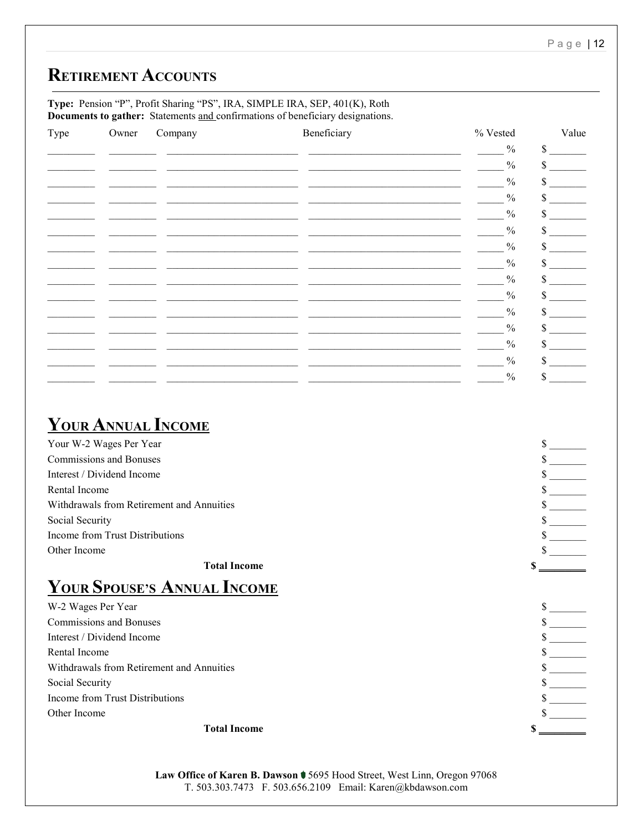## **RETIREMENT ACCOUNTS**

**Type:** Pension "P", Profit Sharing "PS", IRA, SIMPLE IRA, SEP, 401(K), Roth **Documents to gather:** Statements and confirmations of beneficiary designations.

| Type | Owner | Company | Beneficiary                                                                                                          | $\%$ Vested   | Value |
|------|-------|---------|----------------------------------------------------------------------------------------------------------------------|---------------|-------|
|      |       |         | <u> 1980 - Jan James James Alemania, martin alemaniar alemaniar alemaniar alemaniar alemaniar alemaniar alemania</u> | $\frac{0}{0}$ | \$    |
|      |       |         |                                                                                                                      | $\frac{0}{0}$ | \$    |
|      |       |         |                                                                                                                      | $\frac{0}{0}$ | \$    |
|      |       |         |                                                                                                                      | $\frac{0}{0}$ | \$    |
|      |       |         |                                                                                                                      | $\frac{0}{0}$ | \$    |
|      |       |         |                                                                                                                      | $\frac{0}{0}$ | \$    |
|      |       |         |                                                                                                                      | $\frac{0}{0}$ | \$    |
|      |       |         |                                                                                                                      | $\%$          | \$    |
|      |       |         |                                                                                                                      | $\frac{0}{0}$ | \$    |
|      |       |         |                                                                                                                      | $\frac{0}{0}$ | \$    |
|      |       |         |                                                                                                                      | $\frac{0}{0}$ | \$    |
|      |       |         |                                                                                                                      | $\frac{0}{0}$ | \$    |
|      |       |         |                                                                                                                      | $\frac{0}{0}$ | \$    |
|      |       |         |                                                                                                                      | $\frac{0}{0}$ | \$    |
|      |       |         |                                                                                                                      | $\frac{0}{0}$ | \$    |

## **YOUR ANNUAL INCOME**

| <b>Total Income</b>                       |  |
|-------------------------------------------|--|
| Other Income                              |  |
| Income from Trust Distributions           |  |
| Social Security                           |  |
| Withdrawals from Retirement and Annuities |  |
| Rental Income                             |  |
| Interest / Dividend Income                |  |
| <b>Commissions and Bonuses</b>            |  |
| Your W-2 Wages Per Year                   |  |

## **YOUR SPOUSE'S ANNUAL INCOME**

| W-2 Wages Per Year                        |  |
|-------------------------------------------|--|
| Commissions and Bonuses                   |  |
| Interest / Dividend Income                |  |
| Rental Income                             |  |
| Withdrawals from Retirement and Annuities |  |
| Social Security                           |  |
| Income from Trust Distributions           |  |
| Other Income                              |  |
|                                           |  |

#### **Total Income \$** \_\_\_\_\_\_\_\_\_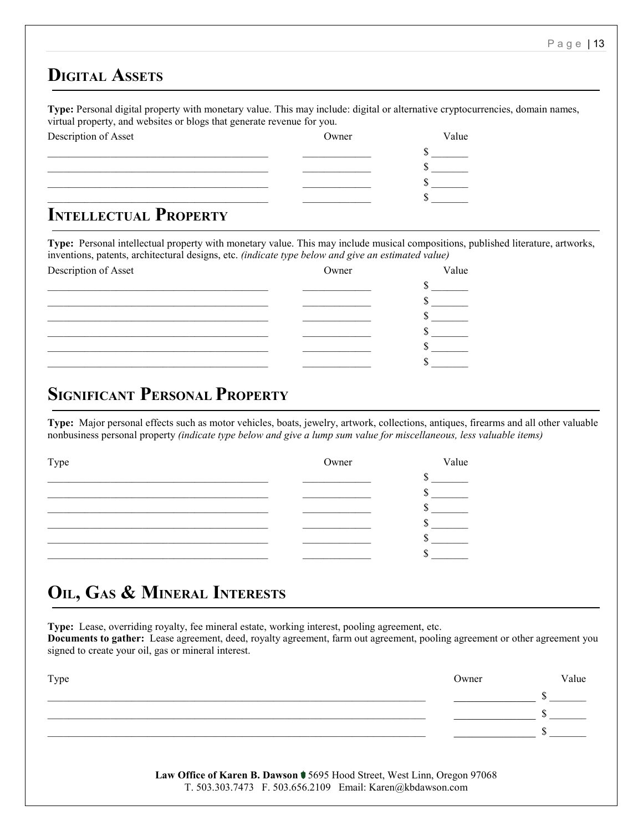#### **DIGITAL ASSETS**

**Type:** Personal digital property with monetary value. This may include: digital or alternative cryptocurrencies, domain names, virtual property, and websites or blogs that generate revenue for you.

| Description of Asset                                              | Owner | Value |
|-------------------------------------------------------------------|-------|-------|
|                                                                   |       |       |
|                                                                   |       |       |
|                                                                   |       |       |
|                                                                   |       |       |
| $\mathbf{I}_{\text{MTPIT}}$ i powill $\mathbf{D}_{\text{DOPPPT}}$ |       |       |

#### **INTELLECTUAL PROPERTY**

**Type:** Personal intellectual property with monetary value. This may include musical compositions, published literature, artworks, inventions, patents, architectural designs, etc. *(indicate type below and give an estimated value)*

| Description of Asset | Owner | Value |
|----------------------|-------|-------|
|                      |       |       |
|                      |       |       |
|                      |       |       |
|                      |       |       |
|                      |       |       |
|                      |       |       |

## **SIGNIFICANT PERSONAL PROPERTY**

**Type:** Major personal effects such as motor vehicles, boats, jewelry, artwork, collections, antiques, firearms and all other valuable nonbusiness personal property *(indicate type below and give a lump sum value for miscellaneous, less valuable items)*

| Type | Owner | Value |
|------|-------|-------|
|      |       |       |
|      |       |       |
|      |       |       |
|      |       |       |
|      |       |       |
|      |       |       |

## **OIL, GAS & MINERAL INTERESTS**

**Type:** Lease, overriding royalty, fee mineral estate, working interest, pooling agreement, etc. **Documents to gather:** Lease agreement, deed, royalty agreement, farm out agreement, pooling agreement or other agreement you signed to create your oil, gas or mineral interest.

| Type | Owner | Value |
|------|-------|-------|
|      |       |       |
|      |       |       |
|      |       |       |
|      |       |       |

**Law Office of Karen B. Dawson** 5695 Hood Street, West Linn, Oregon 97068 T. 503.303.7473 F. 503.656.2109 Email: Karen@kbdawson.com